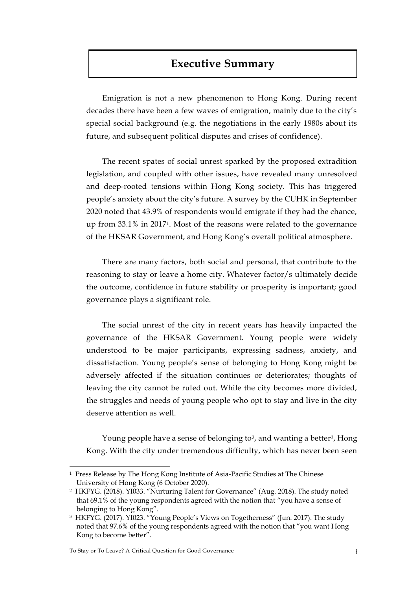## **Executive Summary**

Emigration is not a new phenomenon to Hong Kong. During recent decades there have been a few waves of emigration, mainly due to the city's special social background (e.g. the negotiations in the early 1980s about its future, and subsequent political disputes and crises of confidence).

The recent spates of social unrest sparked by the proposed extradition legislation, and coupled with other issues, have revealed many unresolved and deep-rooted tensions within Hong Kong society. This has triggered people's anxiety about the city's future. A survey by the CUHK in September 2020 noted that 43.9% of respondents would emigrate if they had the chance, up from 33.1% in 20171. Most of the reasons were related to the governance of the HKSAR Government, and Hong Kong's overall political atmosphere.

There are many factors, both social and personal, that contribute to the reasoning to stay or leave a home city. Whatever factor/s ultimately decide the outcome, confidence in future stability or prosperity is important; good governance plays a significant role.

The social unrest of the city in recent years has heavily impacted the governance of the HKSAR Government. Young people were widely understood to be major participants, expressing sadness, anxiety, and dissatisfaction. Young people's sense of belonging to Hong Kong might be adversely affected if the situation continues or deteriorates; thoughts of leaving the city cannot be ruled out. While the city becomes more divided, the struggles and needs of young people who opt to stay and live in the city deserve attention as well.

Young people have a sense of belonging to<sup>2</sup>, and wanting a better<sup>3</sup>, Hong Kong. With the city under tremendous difficulty, which has never been seen

 $\overline{a}$ 

<sup>1</sup> Press Release by The Hong Kong Institute of Asia-Pacific Studies at The Chinese University of Hong Kong (6 October 2020).

<sup>2</sup> HKFYG. (2018). YI033. "Nurturing Talent for Governance" (Aug. 2018). The study noted that 69.1% of the young respondents agreed with the notion that "you have a sense of belonging to Hong Kong".

<sup>3</sup> HKFYG. (2017). YI023. "Young People's Views on Togetherness" (Jun. 2017). The study noted that 97.6% of the young respondents agreed with the notion that "you want Hong Kong to become better".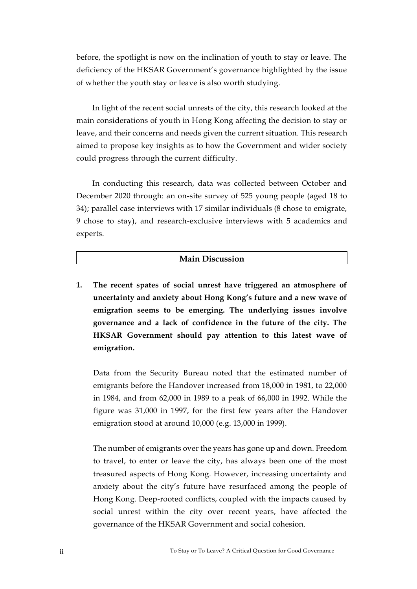before, the spotlight is now on the inclination of youth to stay or leave. The deficiency of the HKSAR Government's governance highlighted by the issue of whether the youth stay or leave is also worth studying.

In light of the recent social unrests of the city, this research looked at the main considerations of youth in Hong Kong affecting the decision to stay or leave, and their concerns and needs given the current situation. This research aimed to propose key insights as to how the Government and wider society could progress through the current difficulty.

In conducting this research, data was collected between October and December 2020 through: an on-site survey of 525 young people (aged 18 to 34); parallel case interviews with 17 similar individuals (8 chose to emigrate, 9 chose to stay), and research-exclusive interviews with 5 academics and experts.

## **Main Discussion**

**1. The recent spates of social unrest have triggered an atmosphere of uncertainty and anxiety about Hong Kong's future and a new wave of emigration seems to be emerging. The underlying issues involve governance and a lack of confidence in the future of the city. The HKSAR Government should pay attention to this latest wave of emigration.**

Data from the Security Bureau noted that the estimated number of emigrants before the Handover increased from 18,000 in 1981, to 22,000 in 1984, and from 62,000 in 1989 to a peak of 66,000 in 1992. While the figure was 31,000 in 1997, for the first few years after the Handover emigration stood at around 10,000 (e.g. 13,000 in 1999).

The number of emigrants over the years has gone up and down. Freedom to travel, to enter or leave the city, has always been one of the most treasured aspects of Hong Kong. However, increasing uncertainty and anxiety about the city's future have resurfaced among the people of Hong Kong. Deep-rooted conflicts, coupled with the impacts caused by social unrest within the city over recent years, have affected the governance of the HKSAR Government and social cohesion.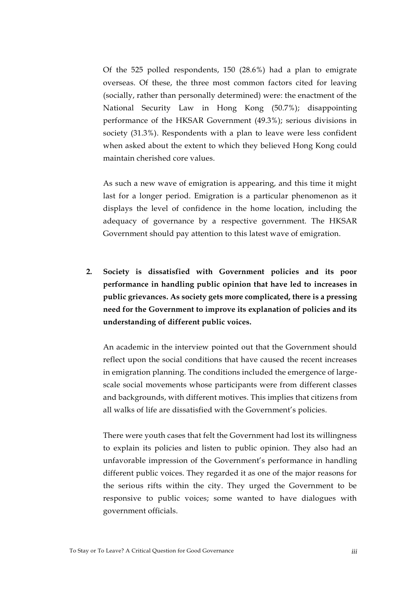Of the 525 polled respondents, 150 (28.6%) had a plan to emigrate overseas. Of these, the three most common factors cited for leaving (socially, rather than personally determined) were: the enactment of the National Security Law in Hong Kong (50.7%); disappointing performance of the HKSAR Government (49.3%); serious divisions in society (31.3%). Respondents with a plan to leave were less confident when asked about the extent to which they believed Hong Kong could maintain cherished core values.

As such a new wave of emigration is appearing, and this time it might last for a longer period. Emigration is a particular phenomenon as it displays the level of confidence in the home location, including the adequacy of governance by a respective government. The HKSAR Government should pay attention to this latest wave of emigration.

**2. Society is dissatisfied with Government policies and its poor performance in handling public opinion that have led to increases in public grievances. As society gets more complicated, there is a pressing need for the Government to improve its explanation of policies and its understanding of different public voices.**

An academic in the interview pointed out that the Government should reflect upon the social conditions that have caused the recent increases in emigration planning. The conditions included the emergence of largescale social movements whose participants were from different classes and backgrounds, with different motives. This implies that citizens from all walks of life are dissatisfied with the Government's policies.

There were youth cases that felt the Government had lost its willingness to explain its policies and listen to public opinion. They also had an unfavorable impression of the Government's performance in handling different public voices. They regarded it as one of the major reasons for the serious rifts within the city. They urged the Government to be responsive to public voices; some wanted to have dialogues with government officials.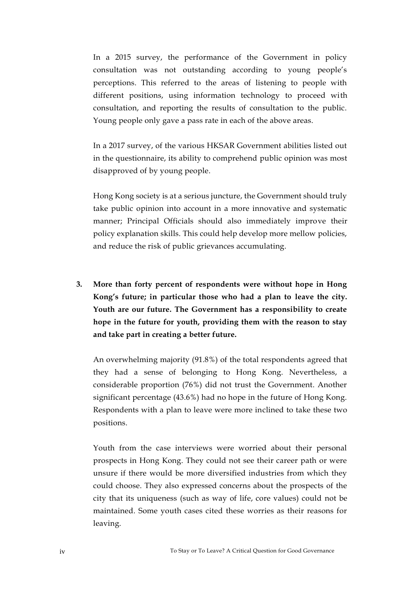In a 2015 survey, the performance of the Government in policy consultation was not outstanding according to young people's perceptions. This referred to the areas of listening to people with different positions, using information technology to proceed with consultation, and reporting the results of consultation to the public. Young people only gave a pass rate in each of the above areas.

In a 2017 survey, of the various HKSAR Government abilities listed out in the questionnaire, its ability to comprehend public opinion was most disapproved of by young people.

Hong Kong society is at a serious juncture, the Government should truly take public opinion into account in a more innovative and systematic manner; Principal Officials should also immediately improve their policy explanation skills. This could help develop more mellow policies, and reduce the risk of public grievances accumulating.

**3. More than forty percent of respondents were without hope in Hong Kong's future; in particular those who had a plan to leave the city. Youth are our future. The Government has a responsibility to create hope in the future for youth, providing them with the reason to stay and take part in creating a better future.**

An overwhelming majority (91.8%) of the total respondents agreed that they had a sense of belonging to Hong Kong. Nevertheless, a considerable proportion (76%) did not trust the Government. Another significant percentage (43.6%) had no hope in the future of Hong Kong. Respondents with a plan to leave were more inclined to take these two positions.

Youth from the case interviews were worried about their personal prospects in Hong Kong. They could not see their career path or were unsure if there would be more diversified industries from which they could choose. They also expressed concerns about the prospects of the city that its uniqueness (such as way of life, core values) could not be maintained. Some youth cases cited these worries as their reasons for leaving.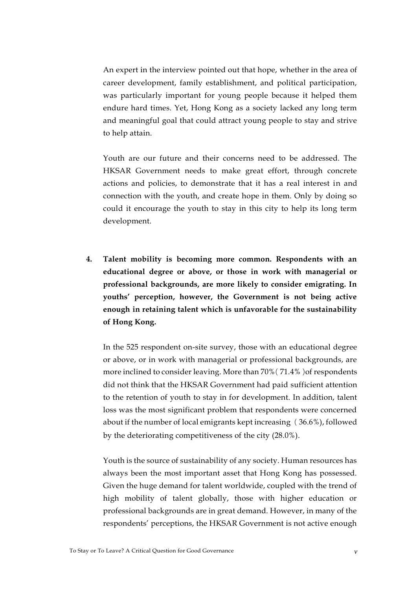An expert in the interview pointed out that hope, whether in the area of career development, family establishment, and political participation, was particularly important for young people because it helped them endure hard times. Yet, Hong Kong as a society lacked any long term and meaningful goal that could attract young people to stay and strive to help attain.

Youth are our future and their concerns need to be addressed. The HKSAR Government needs to make great effort, through concrete actions and policies, to demonstrate that it has a real interest in and connection with the youth, and create hope in them. Only by doing so could it encourage the youth to stay in this city to help its long term development.

**4. Talent mobility is becoming more common. Respondents with an educational degree or above, or those in work with managerial or professional backgrounds, are more likely to consider emigrating. In youths' perception, however, the Government is not being active enough in retaining talent which is unfavorable for the sustainability of Hong Kong.**

In the 525 respondent on-site survey, those with an educational degree or above, or in work with managerial or professional backgrounds, are more inclined to consider leaving. More than 70% (71.4%) of respondents did not think that the HKSAR Government had paid sufficient attention to the retention of youth to stay in for development. In addition, talent loss was the most significant problem that respondents were concerned about if the number of local emigrants kept increasing (36.6%), followed by the deteriorating competitiveness of the city (28.0%).

Youth is the source of sustainability of any society. Human resources has always been the most important asset that Hong Kong has possessed. Given the huge demand for talent worldwide, coupled with the trend of high mobility of talent globally, those with higher education or professional backgrounds are in great demand. However, in many of the respondents' perceptions, the HKSAR Government is not active enough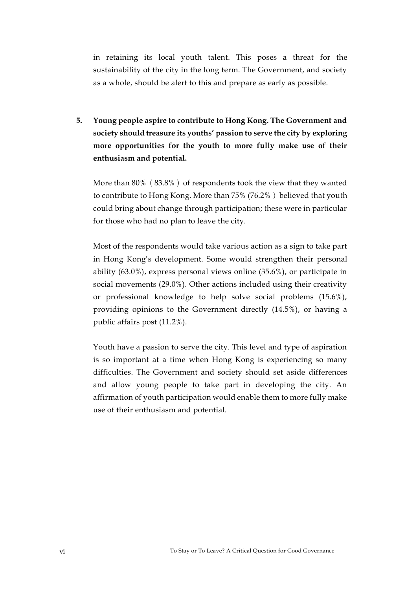in retaining its local youth talent. This poses a threat for the sustainability of the city in the long term. The Government, and society as a whole, should be alert to this and prepare as early as possible.

**5. Young people aspire to contribute to Hong Kong. The Government and society should treasure its youths' passion to serve the city by exploring more opportunities for the youth to more fully make use of their enthusiasm and potential.**

More than  $80\%$  ( $83.8\%$ ) of respondents took the view that they wanted to contribute to Hong Kong. More than 75% (76.2%) believed that youth could bring about change through participation; these were in particular for those who had no plan to leave the city.

Most of the respondents would take various action as a sign to take part in Hong Kong's development. Some would strengthen their personal ability (63.0%), express personal views online (35.6%), or participate in social movements (29.0%). Other actions included using their creativity or professional knowledge to help solve social problems (15.6%), providing opinions to the Government directly (14.5%), or having a public affairs post (11.2%).

Youth have a passion to serve the city. This level and type of aspiration is so important at a time when Hong Kong is experiencing so many difficulties. The Government and society should set aside differences and allow young people to take part in developing the city. An affirmation of youth participation would enable them to more fully make use of their enthusiasm and potential.